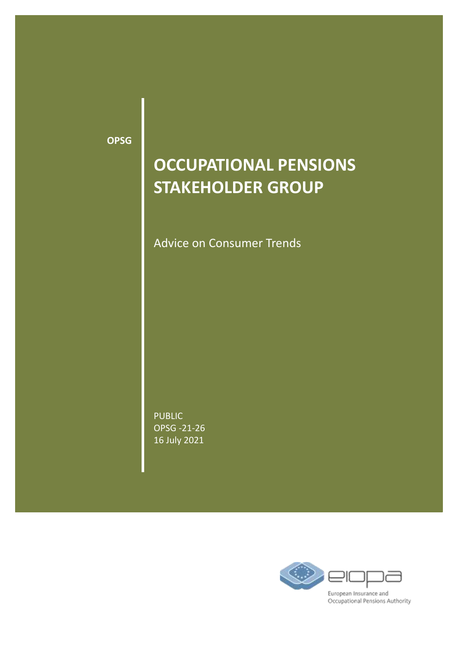**OPSG**

# **OCCUPATIONAL PENSIONS STAKEHOLDER GROUP**

Advice on Consumer Trends

PUBLIC OPSG -21-26 16 July 2021

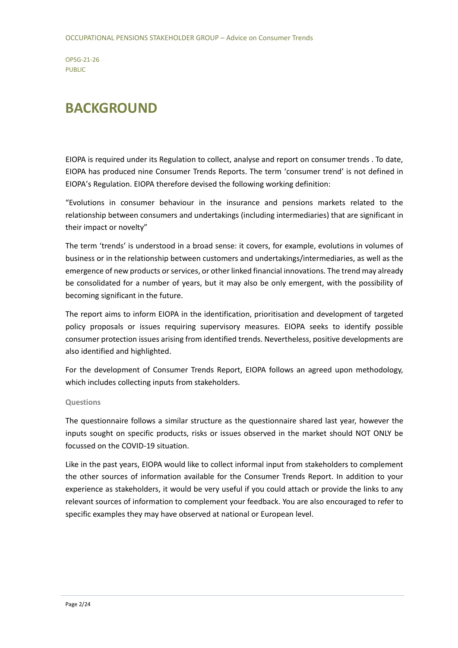## **BACKGROUND**

EIOPA is required under its Regulation to collect, analyse and report on consumer trends . To date, EIOPA has produced nine Consumer Trends Reports. The term 'consumer trend' is not defined in EIOPA's Regulation. EIOPA therefore devised the following working definition:

"Evolutions in consumer behaviour in the insurance and pensions markets related to the relationship between consumers and undertakings (including intermediaries) that are significant in their impact or novelty"

The term 'trends' is understood in a broad sense: it covers, for example, evolutions in volumes of business or in the relationship between customers and undertakings/intermediaries, as well as the emergence of new products or services, or other linked financial innovations. The trend may already be consolidated for a number of years, but it may also be only emergent, with the possibility of becoming significant in the future.

The report aims to inform EIOPA in the identification, prioritisation and development of targeted policy proposals or issues requiring supervisory measures. EIOPA seeks to identify possible consumer protection issues arising from identified trends. Nevertheless, positive developments are also identified and highlighted.

For the development of Consumer Trends Report, EIOPA follows an agreed upon methodology, which includes collecting inputs from stakeholders.

### **Questions**

The questionnaire follows a similar structure as the questionnaire shared last year, however the inputs sought on specific products, risks or issues observed in the market should NOT ONLY be focussed on the COVID-19 situation.

Like in the past years, EIOPA would like to collect informal input from stakeholders to complement the other sources of information available for the Consumer Trends Report. In addition to your experience as stakeholders, it would be very useful if you could attach or provide the links to any relevant sources of information to complement your feedback. You are also encouraged to refer to specific examples they may have observed at national or European level.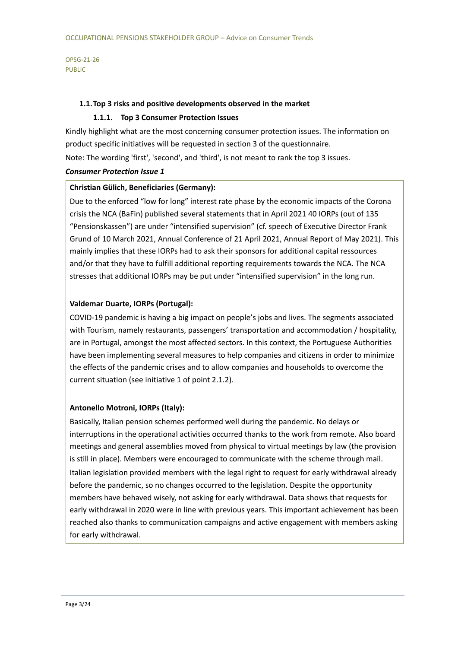### **1.1.Top 3 risks and positive developments observed in the market**

### **1.1.1. Top 3 Consumer Protection Issues**

Kindly highlight what are the most concerning consumer protection issues. The information on product specific initiatives will be requested in section 3 of the questionnaire.

Note: The wording 'first', 'second', and 'third', is not meant to rank the top 3 issues.

### *Consumer Protection Issue 1*

### **Christian Gülich, Beneficiaries (Germany):**

Due to the enforced "low for long" interest rate phase by the economic impacts of the Corona crisis the NCA (BaFin) published several statements that in April 2021 40 IORPs (out of 135 "Pensionskassen") are under "intensified supervision" (cf. speech of Executive Director Frank Grund of 10 March 2021, Annual Conference of 21 April 2021, Annual Report of May 2021). This mainly implies that these IORPs had to ask their sponsors for additional capital ressources and/or that they have to fulfill additional reporting requirements towards the NCA. The NCA stresses that additional IORPs may be put under "intensified supervision" in the long run.

### **Valdemar Duarte, IORPs (Portugal):**

COVID-19 pandemic is having a big impact on people's jobs and lives. The segments associated with Tourism, namely restaurants, passengers' transportation and accommodation / hospitality, are in Portugal, amongst the most affected sectors. In this context, the Portuguese Authorities have been implementing several measures to help companies and citizens in order to minimize the effects of the pandemic crises and to allow companies and households to overcome the current situation (see initiative 1 of point 2.1.2).

### **Antonello Motroni, IORPs (Italy):**

Basically, Italian pension schemes performed well during the pandemic. No delays or interruptions in the operational activities occurred thanks to the work from remote. Also board meetings and general assemblies moved from physical to virtual meetings by law (the provision is still in place). Members were encouraged to communicate with the scheme through mail. Italian legislation provided members with the legal right to request for early withdrawal already before the pandemic, so no changes occurred to the legislation. Despite the opportunity members have behaved wisely, not asking for early withdrawal. Data shows that requests for early withdrawal in 2020 were in line with previous years. This important achievement has been reached also thanks to communication campaigns and active engagement with members asking for early withdrawal.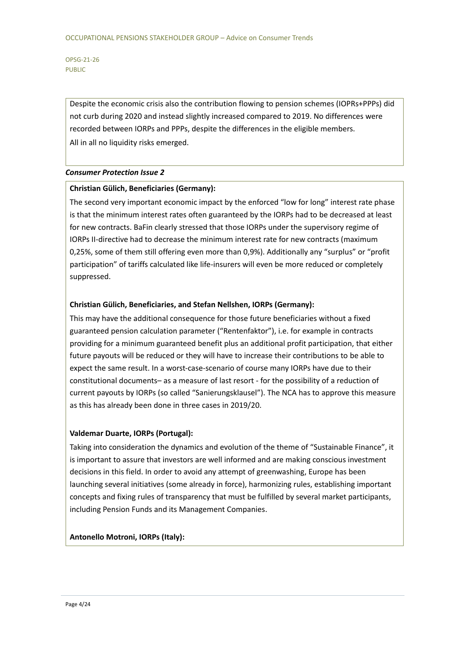Despite the economic crisis also the contribution flowing to pension schemes (IOPRs+PPPs) did not curb during 2020 and instead slightly increased compared to 2019. No differences were recorded between IORPs and PPPs, despite the differences in the eligible members. All in all no liquidity risks emerged.

### *Consumer Protection Issue 2*

### **Christian Gülich, Beneficiaries (Germany):**

The second very important economic impact by the enforced "low for long" interest rate phase is that the minimum interest rates often guaranteed by the IORPs had to be decreased at least for new contracts. BaFin clearly stressed that those IORPs under the supervisory regime of IORPs II-directive had to decrease the minimum interest rate for new contracts (maximum 0,25%, some of them still offering even more than 0,9%). Additionally any "surplus" or "profit participation" of tariffs calculated like life-insurers will even be more reduced or completely suppressed.

### **Christian Gülich, Beneficiaries, and Stefan Nellshen, IORPs (Germany):**

This may have the additional consequence for those future beneficiaries without a fixed guaranteed pension calculation parameter ("Rentenfaktor"), i.e. for example in contracts providing for a minimum guaranteed benefit plus an additional profit participation, that either future payouts will be reduced or they will have to increase their contributions to be able to expect the same result. In a worst-case-scenario of course many IORPs have due to their constitutional documents– as a measure of last resort - for the possibility of a reduction of current payouts by IORPs (so called "Sanierungsklausel"). The NCA has to approve this measure as this has already been done in three cases in 2019/20.

### **Valdemar Duarte, IORPs (Portugal):**

Taking into consideration the dynamics and evolution of the theme of "Sustainable Finance", it is important to assure that investors are well informed and are making conscious investment decisions in this field. In order to avoid any attempt of greenwashing, Europe has been launching several initiatives (some already in force), harmonizing rules, establishing important concepts and fixing rules of transparency that must be fulfilled by several market participants, including Pension Funds and its Management Companies.

### **Antonello Motroni, IORPs (Italy):**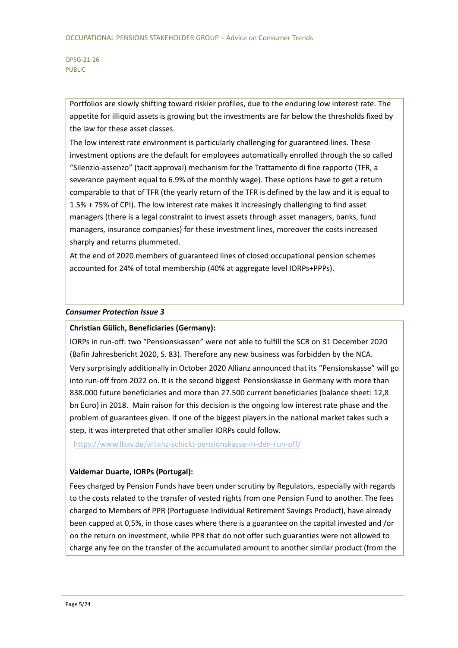Portfolios are slowly shifting toward riskier profiles, due to the enduring low interest rate. The appetite for illiquid assets is growing but the investments are far below the thresholds fixed by the law for these asset classes.

The low interest rate environment is particularly challenging for guaranteed lines. These investment options are the default for employees automatically enrolled through the so called "Silenzio-assenzo" (tacit approval) mechanism for the Trattamento di fine rapporto (TFR, a severance payment equal to 6.9% of the monthly wage). These options have to get a return comparable to that of TFR (the yearly return of the TFR is defined by the law and it is equal to 1.5% + 75% of CPI). The low interest rate makes it increasingly challenging to find asset managers (there is a legal constraint to invest assets through asset managers, banks, fund managers, insurance companies) for these investment lines, moreover the costs increased sharply and returns plummeted.

At the end of 2020 members of guaranteed lines of closed occupational pension schemes accounted for 24% of total membership (40% at aggregate level IORPs+PPPs).

### *Consumer Protection Issue 3*

### **Christian Gülich, Beneficiaries (Germany):**

IORPs in run-off: two "Pensionskassen" were not able to fulfill the SCR on 31 December 2020 (Bafin Jahresbericht 2020, S. 83). Therefore any new business was forbidden by the NCA. Very surprisingly additionally in October 2020 Allianz announced that its "Pensionskasse" will go into run-off from 2022 on. It is the second biggest Pensionskasse in Germany with more than 838.000 future beneficiaries and more than 27.500 current beneficiaries (balance sheet: 12,8 bn Euro) in 2018. Main raison for this decision is the ongoing low interest rate phase and the problem of guarantees given. If one of the biggest players in the national market takes such a step, it was interpreted that other smaller IORPs could follow.

<https://www.lbav.de/allianz-schickt-pensionskasse-in-den-run-off/>

#### **Valdemar Duarte, IORPs (Portugal):**

Fees charged by Pension Funds have been under scrutiny by Regulators, especially with regards to the costs related to the transfer of vested rights from one Pension Fund to another. The fees charged to Members of PPR (Portuguese Individual Retirement Savings Product), have already been capped at 0,5%, in those cases where there is a guarantee on the capital invested and /or on the return on investment, while PPR that do not offer such guaranties were not allowed to charge any fee on the transfer of the accumulated amount to another similar product (from the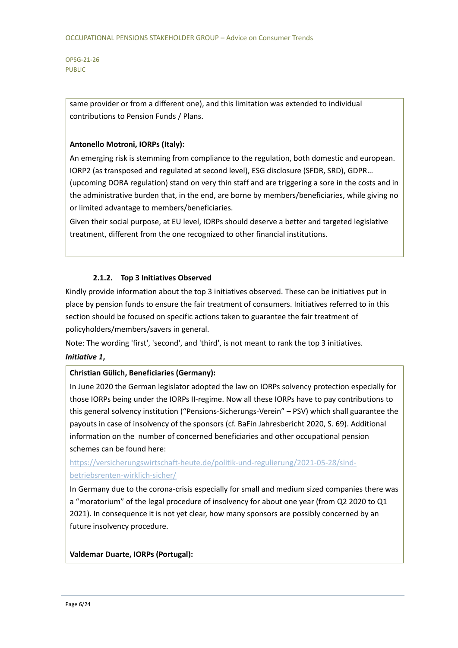> same provider or from a different one), and this limitation was extended to individual contributions to Pension Funds / Plans.

### **Antonello Motroni, IORPs (Italy):**

An emerging risk is stemming from compliance to the regulation, both domestic and european. IORP2 (as transposed and regulated at second level), ESG disclosure (SFDR, SRD), GDPR… (upcoming DORA regulation) stand on very thin staff and are triggering a sore in the costs and in the administrative burden that, in the end, are borne by members/beneficiaries, while giving no or limited advantage to members/beneficiaries.

Given their social purpose, at EU level, IORPs should deserve a better and targeted legislative treatment, different from the one recognized to other financial institutions.

### **2.1.2. Top 3 Initiatives Observed**

Kindly provide information about the top 3 initiatives observed. These can be initiatives put in place by pension funds to ensure the fair treatment of consumers. Initiatives referred to in this section should be focused on specific actions taken to guarantee the fair treatment of policyholders/members/savers in general.

Note: The wording 'first', 'second', and 'third', is not meant to rank the top 3 initiatives.

### *Initiative 1***,**

### **Christian Gülich, Beneficiaries (Germany):**

In June 2020 the German legislator adopted the law on IORPs solvency protection especially for those IORPs being under the IORPs II-regime. Now all these IORPs have to pay contributions to this general solvency institution ("Pensions-Sicherungs-Verein" – PSV) which shall guarantee the payouts in case of insolvency of the sponsors (cf. BaFin Jahresbericht 2020, S. 69). Additional information on the number of concerned beneficiaries and other occupational pension schemes can be found here:

### [https://versicherungswirtschaft-heute.de/politik-und-regulierung/2021-05-28/sind](https://versicherungswirtschaft-heute.de/politik-und-regulierung/2021-05-28/sind-betriebsrenten-wirklich-sicher/)[betriebsrenten-wirklich-sicher/](https://versicherungswirtschaft-heute.de/politik-und-regulierung/2021-05-28/sind-betriebsrenten-wirklich-sicher/)

In Germany due to the corona-crisis especially for small and medium sized companies there was a "moratorium" of the legal procedure of insolvency for about one year (from Q2 2020 to Q1 2021). In consequence it is not yet clear, how many sponsors are possibly concerned by an future insolvency procedure.

### **Valdemar Duarte, IORPs (Portugal):**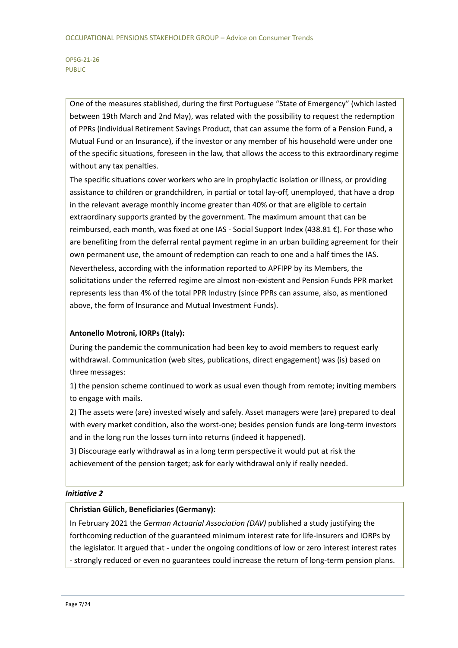> One of the measures stablished, during the first Portuguese "State of Emergency" (which lasted between 19th March and 2nd May), was related with the possibility to request the redemption of PPRs (individual Retirement Savings Product, that can assume the form of a Pension Fund, a Mutual Fund or an Insurance), if the investor or any member of his household were under one of the specific situations, foreseen in the law, that allows the access to this extraordinary regime without any tax penalties.

> The specific situations cover workers who are in prophylactic isolation or illness, or providing assistance to children or grandchildren, in partial or total lay-off, unemployed, that have a drop in the relevant average monthly income greater than 40% or that are eligible to certain extraordinary supports granted by the government. The maximum amount that can be reimbursed, each month, was fixed at one IAS - Social Support Index (438.81 €). For those who are benefiting from the deferral rental payment regime in an urban building agreement for their own permanent use, the amount of redemption can reach to one and a half times the IAS. Nevertheless, according with the information reported to APFIPP by its Members, the solicitations under the referred regime are almost non-existent and Pension Funds PPR market represents less than 4% of the total PPR Industry (since PPRs can assume, also, as mentioned above, the form of Insurance and Mutual Investment Funds).

### **Antonello Motroni, IORPs (Italy):**

During the pandemic the communication had been key to avoid members to request early withdrawal. Communication (web sites, publications, direct engagement) was (is) based on three messages:

1) the pension scheme continued to work as usual even though from remote; inviting members to engage with mails.

2) The assets were (are) invested wisely and safely. Asset managers were (are) prepared to deal with every market condition, also the worst-one; besides pension funds are long-term investors and in the long run the losses turn into returns (indeed it happened).

3) Discourage early withdrawal as in a long term perspective it would put at risk the achievement of the pension target; ask for early withdrawal only if really needed.

### *Initiative 2*

### **Christian Gülich, Beneficiaries (Germany):**

In February 2021 the *German Actuarial Association (DAV)* published a study justifying the forthcoming reduction of the guaranteed minimum interest rate for life-insurers and IORPs by the legislator. It argued that - under the ongoing conditions of low or zero interest interest rates - strongly reduced or even no guarantees could increase the return of long-term pension plans.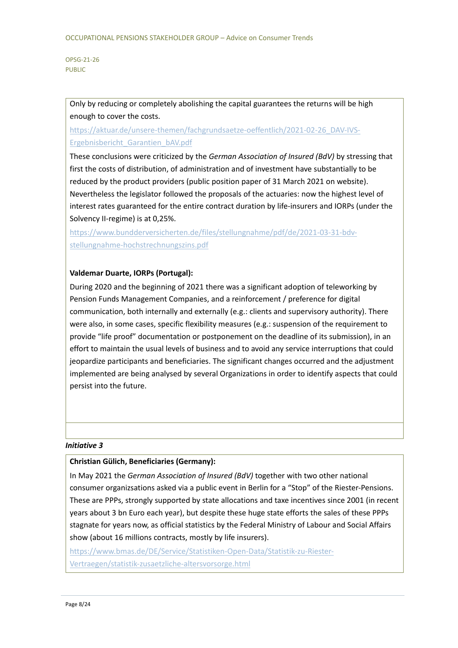Only by reducing or completely abolishing the capital guarantees the returns will be high enough to cover the costs.

[https://aktuar.de/unsere-themen/fachgrundsaetze-oeffentlich/2021-02-26\\_DAV-IVS-](https://aktuar.de/unsere-themen/fachgrundsaetze-oeffentlich/2021-02-26_DAV-IVS-Ergebnisbericht_Garantien_bAV.pdf)[Ergebnisbericht\\_Garantien\\_bAV.pdf](https://aktuar.de/unsere-themen/fachgrundsaetze-oeffentlich/2021-02-26_DAV-IVS-Ergebnisbericht_Garantien_bAV.pdf)

These conclusions were criticized by the *German Association of Insured (BdV)* by stressing that first the costs of distribution, of administration and of investment have substantially to be reduced by the product providers (public position paper of 31 March 2021 on website). Nevertheless the legislator followed the proposals of the actuaries: now the highest level of interest rates guaranteed for the entire contract duration by life-insurers and IORPs (under the Solvency II-regime) is at 0,25%.

[https://www.bundderversicherten.de/files/stellungnahme/pdf/de/2021-03-31-bdv](https://www.bundderversicherten.de/files/stellungnahme/pdf/de/2021-03-31-bdv-stellungnahme-hochstrechnungszins.pdf)[stellungnahme-hochstrechnungszins.pdf](https://www.bundderversicherten.de/files/stellungnahme/pdf/de/2021-03-31-bdv-stellungnahme-hochstrechnungszins.pdf)

### **Valdemar Duarte, IORPs (Portugal):**

During 2020 and the beginning of 2021 there was a significant adoption of teleworking by Pension Funds Management Companies, and a reinforcement / preference for digital communication, both internally and externally (e.g.: clients and supervisory authority). There were also, in some cases, specific flexibility measures (e.g.: suspension of the requirement to provide "life proof" documentation or postponement on the deadline of its submission), in an effort to maintain the usual levels of business and to avoid any service interruptions that could jeopardize participants and beneficiaries. The significant changes occurred and the adjustment implemented are being analysed by several Organizations in order to identify aspects that could persist into the future.

### *Initiative 3*

### **Christian Gülich, Beneficiaries (Germany):**

In May 2021 the *German Association of Insured (BdV)* together with two other national consumer organizsations asked via a public event in Berlin for a "Stop" of the Riester-Pensions. These are PPPs, strongly supported by state allocations and taxe incentives since 2001 (in recent years about 3 bn Euro each year), but despite these huge state efforts the sales of these PPPs stagnate for years now, as official statistics by the Federal Ministry of Labour and Social Affairs show (about 16 millions contracts, mostly by life insurers).

[https://www.bmas.de/DE/Service/Statistiken-Open-Data/Statistik-zu-Riester-](https://www.bmas.de/DE/Service/Statistiken-Open-Data/Statistik-zu-Riester-Vertraegen/statistik-zusaetzliche-altersvorsorge.html)[Vertraegen/statistik-zusaetzliche-altersvorsorge.html](https://www.bmas.de/DE/Service/Statistiken-Open-Data/Statistik-zu-Riester-Vertraegen/statistik-zusaetzliche-altersvorsorge.html)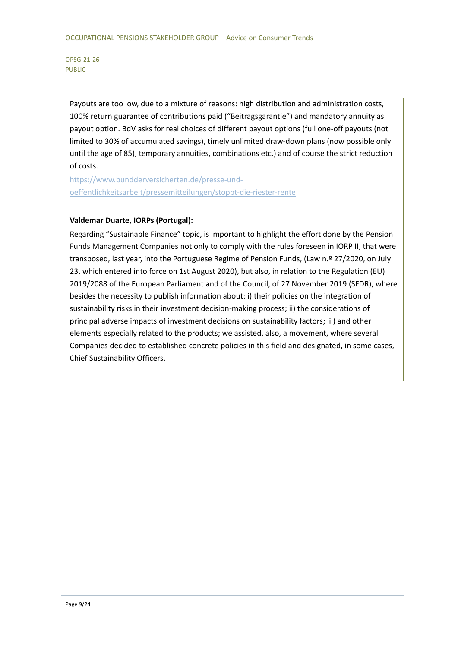Payouts are too low, due to a mixture of reasons: high distribution and administration costs, 100% return guarantee of contributions paid ("Beitragsgarantie") and mandatory annuity as payout option. BdV asks for real choices of different payout options (full one-off payouts (not limited to 30% of accumulated savings), timely unlimited draw-down plans (now possible only until the age of 85), temporary annuities, combinations etc.) and of course the strict reduction of costs.

[https://www.bundderversicherten.de/presse-und](https://www.bundderversicherten.de/presse-und-oeffentlichkeitsarbeit/pressemitteilungen/stoppt-die-riester-rente)[oeffentlichkeitsarbeit/pressemitteilungen/stoppt-die-riester-rente](https://www.bundderversicherten.de/presse-und-oeffentlichkeitsarbeit/pressemitteilungen/stoppt-die-riester-rente)

### **Valdemar Duarte, IORPs (Portugal):**

Regarding "Sustainable Finance" topic, is important to highlight the effort done by the Pension Funds Management Companies not only to comply with the rules foreseen in IORP II, that were transposed, last year, into the Portuguese Regime of Pension Funds, (Law n.º 27/2020, on July 23, which entered into force on 1st August 2020), but also, in relation to the Regulation (EU) 2019/2088 of the European Parliament and of the Council, of 27 November 2019 (SFDR), where besides the necessity to publish information about: i) their policies on the integration of sustainability risks in their investment decision-making process; ii) the considerations of principal adverse impacts of investment decisions on sustainability factors; iii) and other elements especially related to the products; we assisted, also, a movement, where several Companies decided to established concrete policies in this field and designated, in some cases, Chief Sustainability Officers.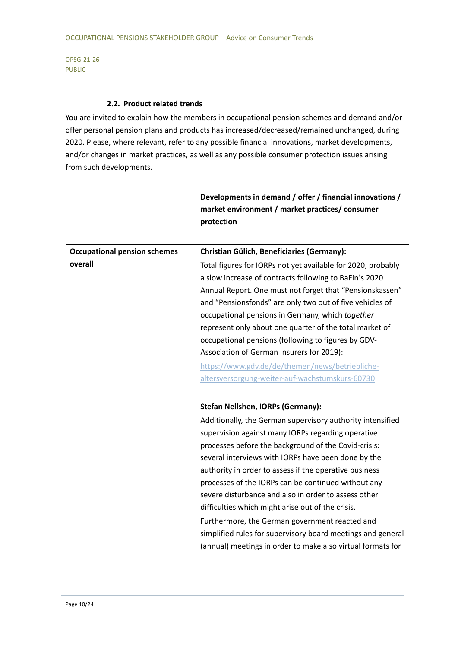### **2.2. Product related trends**

You are invited to explain how the members in occupational pension schemes and demand and/or offer personal pension plans and products has increased/decreased/remained unchanged, during 2020. Please, where relevant, refer to any possible financial innovations, market developments, and/or changes in market practices, as well as any possible consumer protection issues arising from such developments.

|                                     | Developments in demand / offer / financial innovations /<br>market environment / market practices/ consumer<br>protection                                                                                                                                                                                                                                                                                                                                                                                                                                               |
|-------------------------------------|-------------------------------------------------------------------------------------------------------------------------------------------------------------------------------------------------------------------------------------------------------------------------------------------------------------------------------------------------------------------------------------------------------------------------------------------------------------------------------------------------------------------------------------------------------------------------|
| <b>Occupational pension schemes</b> | <b>Christian Gülich, Beneficiaries (Germany):</b>                                                                                                                                                                                                                                                                                                                                                                                                                                                                                                                       |
| overall                             | Total figures for IORPs not yet available for 2020, probably<br>a slow increase of contracts following to BaFin's 2020<br>Annual Report. One must not forget that "Pensionskassen"<br>and "Pensionsfonds" are only two out of five vehicles of<br>occupational pensions in Germany, which together<br>represent only about one quarter of the total market of<br>occupational pensions (following to figures by GDV-<br>Association of German Insurers for 2019):<br>https://www.gdv.de/de/themen/news/betriebliche-<br>altersversorgung-weiter-auf-wachstumskurs-60730 |
|                                     | Stefan Nellshen, IORPs (Germany):                                                                                                                                                                                                                                                                                                                                                                                                                                                                                                                                       |
|                                     | Additionally, the German supervisory authority intensified                                                                                                                                                                                                                                                                                                                                                                                                                                                                                                              |
|                                     | supervision against many IORPs regarding operative                                                                                                                                                                                                                                                                                                                                                                                                                                                                                                                      |
|                                     | processes before the background of the Covid-crisis:                                                                                                                                                                                                                                                                                                                                                                                                                                                                                                                    |
|                                     | several interviews with IORPs have been done by the                                                                                                                                                                                                                                                                                                                                                                                                                                                                                                                     |
|                                     | authority in order to assess if the operative business                                                                                                                                                                                                                                                                                                                                                                                                                                                                                                                  |
|                                     | processes of the IORPs can be continued without any                                                                                                                                                                                                                                                                                                                                                                                                                                                                                                                     |
|                                     | severe disturbance and also in order to assess other                                                                                                                                                                                                                                                                                                                                                                                                                                                                                                                    |
|                                     | difficulties which might arise out of the crisis.                                                                                                                                                                                                                                                                                                                                                                                                                                                                                                                       |
|                                     | Furthermore, the German government reacted and                                                                                                                                                                                                                                                                                                                                                                                                                                                                                                                          |
|                                     | simplified rules for supervisory board meetings and general<br>(annual) meetings in order to make also virtual formats for                                                                                                                                                                                                                                                                                                                                                                                                                                              |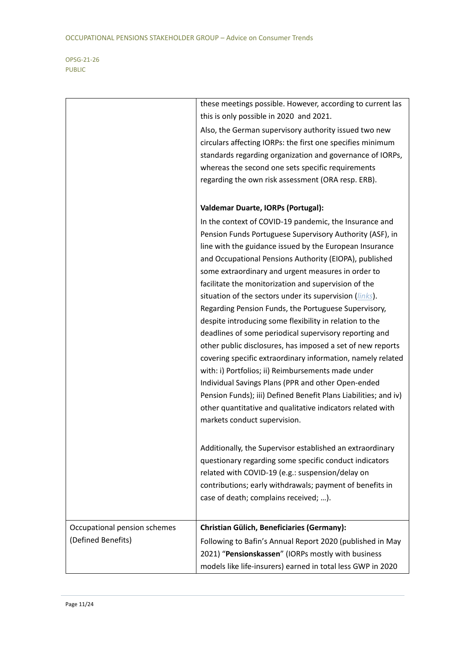|                              | these meetings possible. However, according to current las      |
|------------------------------|-----------------------------------------------------------------|
|                              | this is only possible in 2020 and 2021.                         |
|                              | Also, the German supervisory authority issued two new           |
|                              | circulars affecting IORPs: the first one specifies minimum      |
|                              | standards regarding organization and governance of IORPs,       |
|                              | whereas the second one sets specific requirements               |
|                              | regarding the own risk assessment (ORA resp. ERB).              |
|                              |                                                                 |
|                              | <b>Valdemar Duarte, IORPs (Portugal):</b>                       |
|                              | In the context of COVID-19 pandemic, the Insurance and          |
|                              | Pension Funds Portuguese Supervisory Authority (ASF), in        |
|                              | line with the guidance issued by the European Insurance         |
|                              | and Occupational Pensions Authority (EIOPA), published          |
|                              | some extraordinary and urgent measures in order to              |
|                              | facilitate the monitorization and supervision of the            |
|                              | situation of the sectors under its supervision (links).         |
|                              | Regarding Pension Funds, the Portuguese Supervisory,            |
|                              | despite introducing some flexibility in relation to the         |
|                              | deadlines of some periodical supervisory reporting and          |
|                              | other public disclosures, has imposed a set of new reports      |
|                              | covering specific extraordinary information, namely related     |
|                              | with: i) Portfolios; ii) Reimbursements made under              |
|                              | Individual Savings Plans (PPR and other Open-ended              |
|                              | Pension Funds); iii) Defined Benefit Plans Liabilities; and iv) |
|                              | other quantitative and qualitative indicators related with      |
|                              | markets conduct supervision.                                    |
|                              |                                                                 |
|                              | Additionally, the Supervisor established an extraordinary       |
|                              | questionary regarding some specific conduct indicators          |
|                              | related with COVID-19 (e.g.: suspension/delay on                |
|                              | contributions; early withdrawals; payment of benefits in        |
|                              | case of death; complains received; ).                           |
|                              |                                                                 |
| Occupational pension schemes | <b>Christian Gülich, Beneficiaries (Germany):</b>               |
| (Defined Benefits)           | Following to Bafin's Annual Report 2020 (published in May       |
|                              | 2021) "Pensionskassen" (IORPs mostly with business              |
|                              | models like life-insurers) earned in total less GWP in 2020     |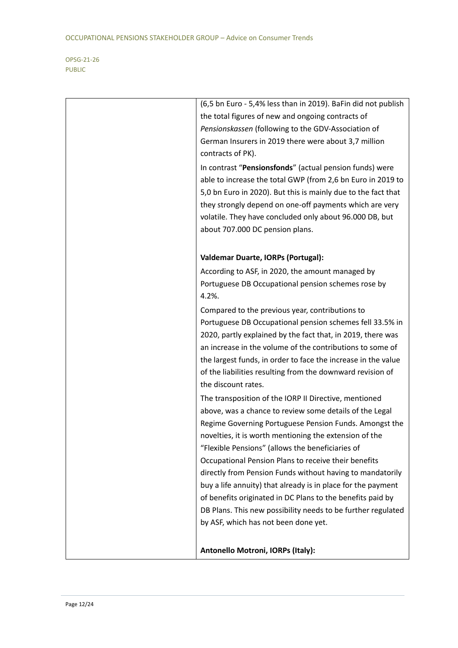| (6,5 bn Euro - 5,4% less than in 2019). BaFin did not publish<br>the total figures of new and ongoing contracts of<br>Pensionskassen (following to the GDV-Association of<br>German Insurers in 2019 there were about 3,7 million<br>contracts of PK).<br>In contrast "Pensionsfonds" (actual pension funds) were<br>able to increase the total GWP (from 2,6 bn Euro in 2019 to                                                                                                                                                                                                                                                                    |
|-----------------------------------------------------------------------------------------------------------------------------------------------------------------------------------------------------------------------------------------------------------------------------------------------------------------------------------------------------------------------------------------------------------------------------------------------------------------------------------------------------------------------------------------------------------------------------------------------------------------------------------------------------|
| 5,0 bn Euro in 2020). But this is mainly due to the fact that<br>they strongly depend on one-off payments which are very<br>volatile. They have concluded only about 96.000 DB, but<br>about 707.000 DC pension plans.                                                                                                                                                                                                                                                                                                                                                                                                                              |
| <b>Valdemar Duarte, IORPs (Portugal):</b>                                                                                                                                                                                                                                                                                                                                                                                                                                                                                                                                                                                                           |
| According to ASF, in 2020, the amount managed by<br>Portuguese DB Occupational pension schemes rose by<br>4.2%.                                                                                                                                                                                                                                                                                                                                                                                                                                                                                                                                     |
| Compared to the previous year, contributions to<br>Portuguese DB Occupational pension schemes fell 33.5% in<br>2020, partly explained by the fact that, in 2019, there was<br>an increase in the volume of the contributions to some of<br>the largest funds, in order to face the increase in the value<br>of the liabilities resulting from the downward revision of<br>the discount rates.                                                                                                                                                                                                                                                       |
| The transposition of the IORP II Directive, mentioned<br>above, was a chance to review some details of the Legal<br>Regime Governing Portuguese Pension Funds. Amongst the<br>novelties, it is worth mentioning the extension of the<br>"Flexible Pensions" (allows the beneficiaries of<br>Occupational Pension Plans to receive their benefits<br>directly from Pension Funds without having to mandatorily<br>buy a life annuity) that already is in place for the payment<br>of benefits originated in DC Plans to the benefits paid by<br>DB Plans. This new possibility needs to be further regulated<br>by ASF, which has not been done yet. |
| Antonello Motroni, IORPs (Italy):                                                                                                                                                                                                                                                                                                                                                                                                                                                                                                                                                                                                                   |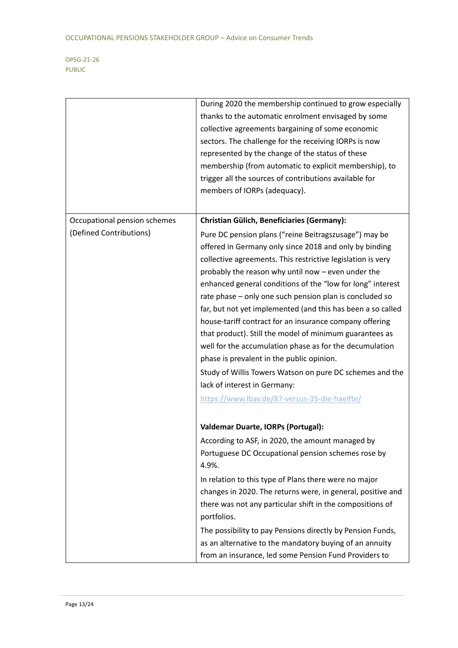|                              | During 2020 the membership continued to grow especially<br>thanks to the automatic enrolment envisaged by some<br>collective agreements bargaining of some economic<br>sectors. The challenge for the receiving IORPs is now<br>represented by the change of the status of these<br>membership (from automatic to explicit membership), to<br>trigger all the sources of contributions available for<br>members of IORPs (adequacy).                                                                                                                                                                                                                                                                                                                                                                    |
|------------------------------|---------------------------------------------------------------------------------------------------------------------------------------------------------------------------------------------------------------------------------------------------------------------------------------------------------------------------------------------------------------------------------------------------------------------------------------------------------------------------------------------------------------------------------------------------------------------------------------------------------------------------------------------------------------------------------------------------------------------------------------------------------------------------------------------------------|
| Occupational pension schemes | <b>Christian Gülich, Beneficiaries (Germany):</b>                                                                                                                                                                                                                                                                                                                                                                                                                                                                                                                                                                                                                                                                                                                                                       |
| (Defined Contributions)      | Pure DC pension plans ("reine Beitragszusage") may be<br>offered in Germany only since 2018 and only by binding<br>collective agreements. This restrictive legislation is very<br>probably the reason why until now - even under the<br>enhanced general conditions of the "low for long" interest<br>rate phase - only one such pension plan is concluded so<br>far, but not yet implemented (and this has been a so called<br>house-tariff contract for an insurance company offering<br>that product). Still the model of minimum guarantees as<br>well for the accumulation phase as for the decumulation<br>phase is prevalent in the public opinion.<br>Study of Willis Towers Watson on pure DC schemes and the<br>lack of interest in Germany:<br>https://www.lbav.de/87-versus-35-die-haelfte/ |
|                              | Valdemar Duarte, IORPs (Portugal):                                                                                                                                                                                                                                                                                                                                                                                                                                                                                                                                                                                                                                                                                                                                                                      |
|                              | According to ASF, in 2020, the amount managed by<br>Portuguese DC Occupational pension schemes rose by<br>4.9%.                                                                                                                                                                                                                                                                                                                                                                                                                                                                                                                                                                                                                                                                                         |
|                              | In relation to this type of Plans there were no major<br>changes in 2020. The returns were, in general, positive and<br>there was not any particular shift in the compositions of<br>portfolios.                                                                                                                                                                                                                                                                                                                                                                                                                                                                                                                                                                                                        |
|                              | The possibility to pay Pensions directly by Pension Funds,<br>as an alternative to the mandatory buying of an annuity<br>from an insurance, led some Pension Fund Providers to                                                                                                                                                                                                                                                                                                                                                                                                                                                                                                                                                                                                                          |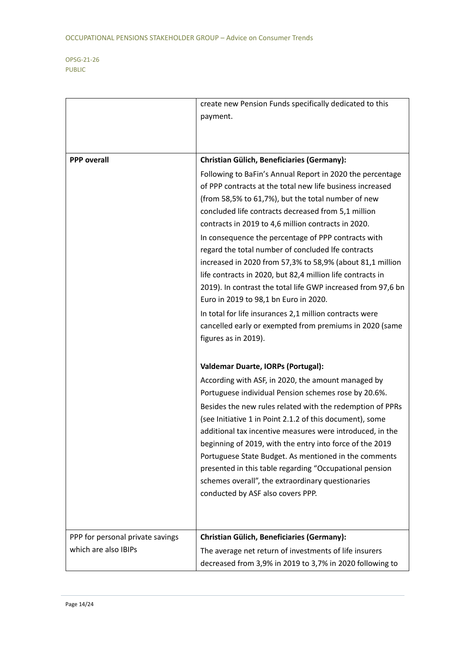|                                                          | create new Pension Funds specifically dedicated to this                                                                                                                                                                                                                                                                                                                                                                                                                                                                                                                                                                                                                                                                                                           |
|----------------------------------------------------------|-------------------------------------------------------------------------------------------------------------------------------------------------------------------------------------------------------------------------------------------------------------------------------------------------------------------------------------------------------------------------------------------------------------------------------------------------------------------------------------------------------------------------------------------------------------------------------------------------------------------------------------------------------------------------------------------------------------------------------------------------------------------|
|                                                          | payment.                                                                                                                                                                                                                                                                                                                                                                                                                                                                                                                                                                                                                                                                                                                                                          |
|                                                          |                                                                                                                                                                                                                                                                                                                                                                                                                                                                                                                                                                                                                                                                                                                                                                   |
|                                                          |                                                                                                                                                                                                                                                                                                                                                                                                                                                                                                                                                                                                                                                                                                                                                                   |
| <b>PPP</b> overall                                       | <b>Christian Gülich, Beneficiaries (Germany):</b>                                                                                                                                                                                                                                                                                                                                                                                                                                                                                                                                                                                                                                                                                                                 |
|                                                          | Following to BaFin's Annual Report in 2020 the percentage<br>of PPP contracts at the total new life business increased<br>(from 58,5% to 61,7%), but the total number of new<br>concluded life contracts decreased from 5,1 million<br>contracts in 2019 to 4,6 million contracts in 2020.<br>In consequence the percentage of PPP contracts with<br>regard the total number of concluded Ife contracts<br>increased in 2020 from 57,3% to 58,9% (about 81,1 million<br>life contracts in 2020, but 82,4 million life contracts in<br>2019). In contrast the total life GWP increased from 97,6 bn<br>Euro in 2019 to 98,1 bn Euro in 2020.<br>In total for life insurances 2,1 million contracts were<br>cancelled early or exempted from premiums in 2020 (same |
|                                                          | figures as in 2019).<br><b>Valdemar Duarte, IORPs (Portugal):</b>                                                                                                                                                                                                                                                                                                                                                                                                                                                                                                                                                                                                                                                                                                 |
|                                                          | According with ASF, in 2020, the amount managed by<br>Portuguese individual Pension schemes rose by 20.6%.<br>Besides the new rules related with the redemption of PPRs<br>(see Initiative 1 in Point 2.1.2 of this document), some<br>additional tax incentive measures were introduced, in the<br>beginning of 2019, with the entry into force of the 2019<br>Portuguese State Budget. As mentioned in the comments<br>presented in this table regarding "Occupational pension<br>schemes overall", the extraordinary questionaries<br>conducted by ASF also covers PPP.                                                                                                                                                                                        |
| PPP for personal private savings<br>which are also IBIPs | <b>Christian Gülich, Beneficiaries (Germany):</b><br>The average net return of investments of life insurers<br>decreased from 3,9% in 2019 to 3,7% in 2020 following to                                                                                                                                                                                                                                                                                                                                                                                                                                                                                                                                                                                           |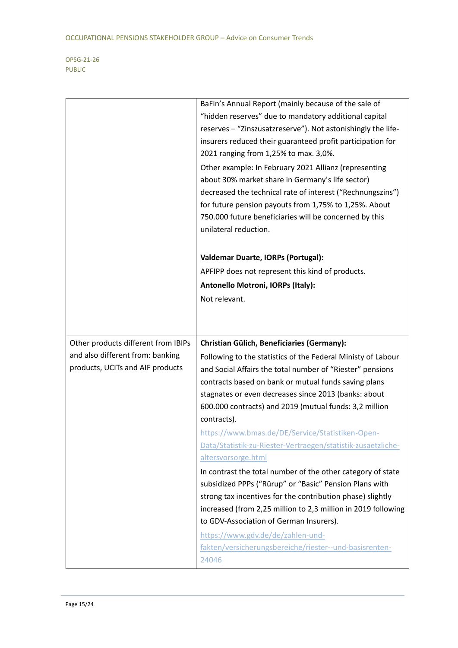|                                     | BaFin's Annual Report (mainly because of the sale of            |
|-------------------------------------|-----------------------------------------------------------------|
|                                     | "hidden reserves" due to mandatory additional capital           |
|                                     | reserves - "Zinszusatzreserve"). Not astonishingly the life-    |
|                                     | insurers reduced their guaranteed profit participation for      |
|                                     | 2021 ranging from 1,25% to max. 3,0%.                           |
|                                     | Other example: In February 2021 Allianz (representing           |
|                                     | about 30% market share in Germany's life sector)                |
|                                     | decreased the technical rate of interest ("Rechnungszins")      |
|                                     | for future pension payouts from 1,75% to 1,25%. About           |
|                                     | 750.000 future beneficiaries will be concerned by this          |
|                                     | unilateral reduction.                                           |
|                                     |                                                                 |
|                                     | <b>Valdemar Duarte, IORPs (Portugal):</b>                       |
|                                     | APFIPP does not represent this kind of products.                |
|                                     | Antonello Motroni, IORPs (Italy):                               |
|                                     | Not relevant.                                                   |
|                                     |                                                                 |
|                                     |                                                                 |
|                                     |                                                                 |
|                                     |                                                                 |
| Other products different from IBIPs | <b>Christian Gülich, Beneficiaries (Germany):</b>               |
| and also different from: banking    | Following to the statistics of the Federal Ministy of Labour    |
| products, UCITs and AIF products    | and Social Affairs the total number of "Riester" pensions       |
|                                     | contracts based on bank or mutual funds saving plans            |
|                                     | stagnates or even decreases since 2013 (banks: about            |
|                                     | 600.000 contracts) and 2019 (mutual funds: 3,2 million          |
|                                     | contracts).                                                     |
|                                     | https://www.bmas.de/DE/Service/Statistiken-Open-                |
|                                     | Data/Statistik-zu-Riester-Vertraegen/statistik-zusaetzliche-    |
|                                     | altersvorsorge.html                                             |
|                                     | In contrast the total number of the other category of state     |
|                                     | subsidized PPPs ("Rürup" or "Basic" Pension Plans with          |
|                                     | strong tax incentives for the contribution phase) slightly      |
|                                     | increased (from 2,25 million to 2,3 million in 2019 following   |
|                                     | to GDV-Association of German Insurers).                         |
|                                     | https://www.gdv.de/de/zahlen-und-                               |
|                                     | fakten/versicherungsbereiche/riester--und-basisrenten-<br>24046 |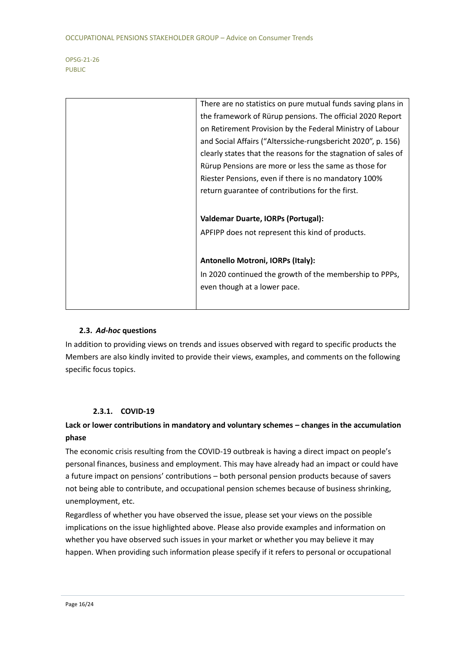| There are no statistics on pure mutual funds saving plans in   |
|----------------------------------------------------------------|
| the framework of Rürup pensions. The official 2020 Report      |
| on Retirement Provision by the Federal Ministry of Labour      |
| and Social Affairs ("Alterssiche-rungsbericht 2020", p. 156)   |
| clearly states that the reasons for the stagnation of sales of |
| Rürup Pensions are more or less the same as those for          |
| Riester Pensions, even if there is no mandatory 100%           |
| return guarantee of contributions for the first.               |
|                                                                |
| <b>Valdemar Duarte, IORPs (Portugal):</b>                      |
| APFIPP does not represent this kind of products.               |
|                                                                |
| Antonello Motroni, IORPs (Italy):                              |
| In 2020 continued the growth of the membership to PPPs,        |
| even though at a lower pace.                                   |
|                                                                |
|                                                                |
|                                                                |

### **2.3.** *Ad-hoc* **questions**

In addition to providing views on trends and issues observed with regard to specific products the Members are also kindly invited to provide their views, examples, and comments on the following specific focus topics.

### **2.3.1. COVID-19**

### **Lack or lower contributions in mandatory and voluntary schemes – changes in the accumulation phase**

The economic crisis resulting from the COVID-19 outbreak is having a direct impact on people's personal finances, business and employment. This may have already had an impact or could have a future impact on pensions' contributions – both personal pension products because of savers not being able to contribute, and occupational pension schemes because of business shrinking, unemployment, etc.

Regardless of whether you have observed the issue, please set your views on the possible implications on the issue highlighted above. Please also provide examples and information on whether you have observed such issues in your market or whether you may believe it may happen. When providing such information please specify if it refers to personal or occupational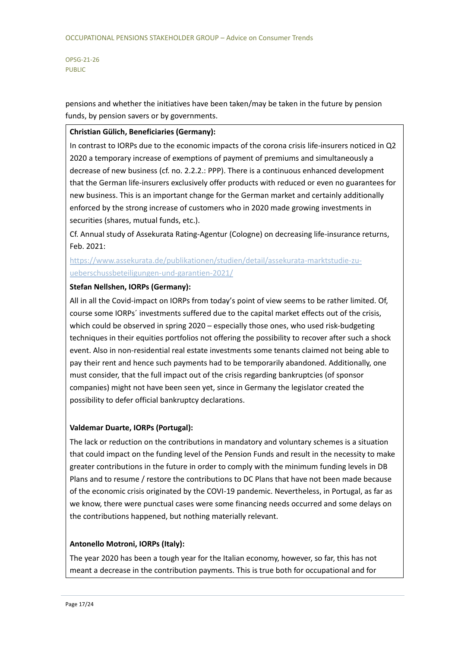pensions and whether the initiatives have been taken/may be taken in the future by pension funds, by pension savers or by governments.

### **Christian Gülich, Beneficiaries (Germany):**

In contrast to IORPs due to the economic impacts of the corona crisis life-insurers noticed in Q2 2020 a temporary increase of exemptions of payment of premiums and simultaneously a decrease of new business (cf. no. 2.2.2.: PPP). There is a continuous enhanced development that the German life-insurers exclusively offer products with reduced or even no guarantees for new business. This is an important change for the German market and certainly additionally enforced by the strong increase of customers who in 2020 made growing investments in securities (shares, mutual funds, etc.).

Cf. Annual study of Assekurata Rating-Agentur (Cologne) on decreasing life-insurance returns, Feb. 2021:

[https://www.assekurata.de/publikationen/studien/detail/assekurata-marktstudie-zu](https://www.assekurata.de/publikationen/studien/detail/assekurata-marktstudie-zu-ueberschussbeteiligungen-und-garantien-2021/)[ueberschussbeteiligungen-und-garantien-2021/](https://www.assekurata.de/publikationen/studien/detail/assekurata-marktstudie-zu-ueberschussbeteiligungen-und-garantien-2021/)

### **Stefan Nellshen, IORPs (Germany):**

All in all the Covid-impact on IORPs from today's point of view seems to be rather limited. Of, course some IORPs´ investments suffered due to the capital market effects out of the crisis, which could be observed in spring 2020 – especially those ones, who used risk-budgeting techniques in their equities portfolios not offering the possibility to recover after such a shock event. Also in non-residential real estate investments some tenants claimed not being able to pay their rent and hence such payments had to be temporarily abandoned. Additionally, one must consider, that the full impact out of the crisis regarding bankruptcies (of sponsor companies) might not have been seen yet, since in Germany the legislator created the possibility to defer official bankruptcy declarations.

### **Valdemar Duarte, IORPs (Portugal):**

The lack or reduction on the contributions in mandatory and voluntary schemes is a situation that could impact on the funding level of the Pension Funds and result in the necessity to make greater contributions in the future in order to comply with the minimum funding levels in DB Plans and to resume / restore the contributions to DC Plans that have not been made because of the economic crisis originated by the COVI-19 pandemic. Nevertheless, in Portugal, as far as we know, there were punctual cases were some financing needs occurred and some delays on the contributions happened, but nothing materially relevant.

### **Antonello Motroni, IORPs (Italy):**

The year 2020 has been a tough year for the Italian economy, however, so far, this has not meant a decrease in the contribution payments. This is true both for occupational and for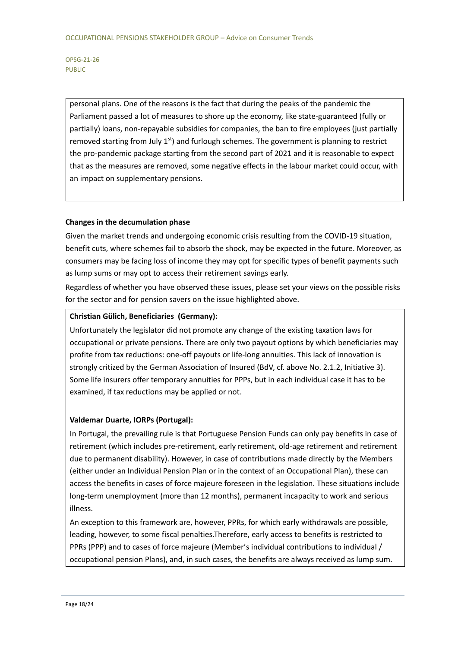personal plans. One of the reasons is the fact that during the peaks of the pandemic the Parliament passed a lot of measures to shore up the economy, like state-guaranteed (fully or partially) loans, non-repayable subsidies for companies, the ban to fire employees (just partially removed starting from July  $1<sup>st</sup>$ ) and furlough schemes. The government is planning to restrict the pro-pandemic package starting from the second part of 2021 and it is reasonable to expect that as the measures are removed, some negative effects in the labour market could occur, with an impact on supplementary pensions.

### **Changes in the decumulation phase**

Given the market trends and undergoing economic crisis resulting from the COVID-19 situation, benefit cuts, where schemes fail to absorb the shock, may be expected in the future. Moreover, as consumers may be facing loss of income they may opt for specific types of benefit payments such as lump sums or may opt to access their retirement savings early.

Regardless of whether you have observed these issues, please set your views on the possible risks for the sector and for pension savers on the issue highlighted above.

### **Christian Gülich, Beneficiaries (Germany):**

Unfortunately the legislator did not promote any change of the existing taxation laws for occupational or private pensions. There are only two payout options by which beneficiaries may profite from tax reductions: one-off payouts or life-long annuities. This lack of innovation is strongly critized by the German Association of Insured (BdV, cf. above No. 2.1.2, Initiative 3). Some life insurers offer temporary annuities for PPPs, but in each individual case it has to be examined, if tax reductions may be applied or not.

### **Valdemar Duarte, IORPs (Portugal):**

In Portugal, the prevailing rule is that Portuguese Pension Funds can only pay benefits in case of retirement (which includes pre-retirement, early retirement, old-age retirement and retirement due to permanent disability). However, in case of contributions made directly by the Members (either under an Individual Pension Plan or in the context of an Occupational Plan), these can access the benefits in cases of force majeure foreseen in the legislation. These situations include long-term unemployment (more than 12 months), permanent incapacity to work and serious illness.

An exception to this framework are, however, PPRs, for which early withdrawals are possible, leading, however, to some fiscal penalties.Therefore, early access to benefits is restricted to PPRs (PPP) and to cases of force majeure (Member's individual contributions to individual / occupational pension Plans), and, in such cases, the benefits are always received as lump sum.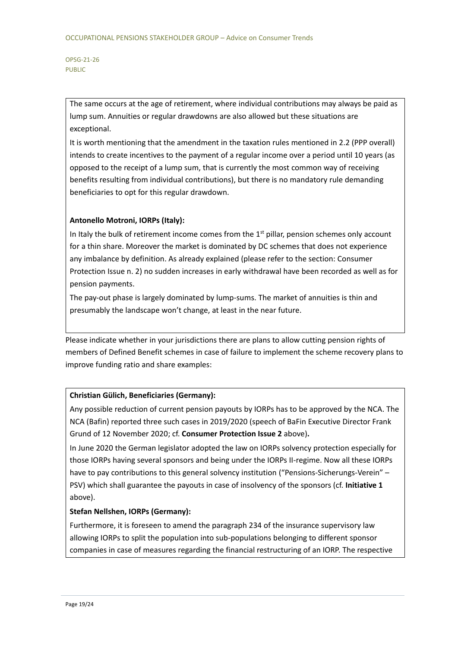The same occurs at the age of retirement, where individual contributions may always be paid as lump sum. Annuities or regular drawdowns are also allowed but these situations are exceptional.

It is worth mentioning that the amendment in the taxation rules mentioned in 2.2 (PPP overall) intends to create incentives to the payment of a regular income over a period until 10 years (as opposed to the receipt of a lump sum, that is currently the most common way of receiving benefits resulting from individual contributions), but there is no mandatory rule demanding beneficiaries to opt for this regular drawdown.

### **Antonello Motroni, IORPs (Italy):**

In Italy the bulk of retirement income comes from the  $1<sup>st</sup>$  pillar, pension schemes only account for a thin share. Moreover the market is dominated by DC schemes that does not experience any imbalance by definition. As already explained (please refer to the section: Consumer Protection Issue n. 2) no sudden increases in early withdrawal have been recorded as well as for pension payments.

The pay-out phase is largely dominated by lump-sums. The market of annuities is thin and presumably the landscape won't change, at least in the near future.

Please indicate whether in your jurisdictions there are plans to allow cutting pension rights of members of Defined Benefit schemes in case of failure to implement the scheme recovery plans to improve funding ratio and share examples:

### **Christian Gülich, Beneficiaries (Germany):**

Any possible reduction of current pension payouts by IORPs has to be approved by the NCA. The NCA (Bafin) reported three such cases in 2019/2020 (speech of BaFin Executive Director Frank Grund of 12 November 2020; cf. **Consumer Protection Issue 2** above)**.**

In June 2020 the German legislator adopted the law on IORPs solvency protection especially for those IORPs having several sponsors and being under the IORPs II-regime. Now all these IORPs have to pay contributions to this general solvency institution ("Pensions-Sicherungs-Verein" – PSV) which shall guarantee the payouts in case of insolvency of the sponsors (cf. **Initiative 1** above).

### **Stefan Nellshen, IORPs (Germany):**

Furthermore, it is foreseen to amend the paragraph 234 of the insurance supervisory law allowing IORPs to split the population into sub-populations belonging to different sponsor companies in case of measures regarding the financial restructuring of an IORP. The respective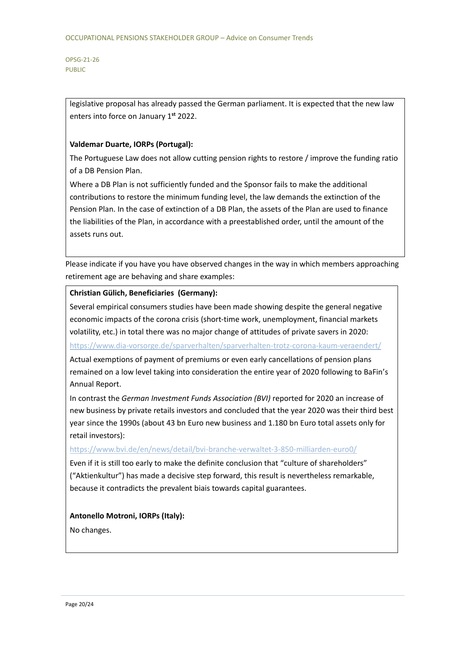> legislative proposal has already passed the German parliament. It is expected that the new law enters into force on January 1**st** 2022.

### **Valdemar Duarte, IORPs (Portugal):**

The Portuguese Law does not allow cutting pension rights to restore / improve the funding ratio of a DB Pension Plan.

Where a DB Plan is not sufficiently funded and the Sponsor fails to make the additional contributions to restore the minimum funding level, the law demands the extinction of the Pension Plan. In the case of extinction of a DB Plan, the assets of the Plan are used to finance the liabilities of the Plan, in accordance with a preestablished order, until the amount of the assets runs out.

Please indicate if you have you have observed changes in the way in which members approaching retirement age are behaving and share examples:

### **Christian Gülich, Beneficiaries (Germany):**

Several empirical consumers studies have been made showing despite the general negative economic impacts of the corona crisis (short-time work, unemployment, financial markets volatility, etc.) in total there was no major change of attitudes of private savers in 2020:

<https://www.dia-vorsorge.de/sparverhalten/sparverhalten-trotz-corona-kaum-veraendert/>

Actual exemptions of payment of premiums or even early cancellations of pension plans remained on a low level taking into consideration the entire year of 2020 following to BaFin's Annual Report.

In contrast the *German Investment Funds Association (BVI)* reported for 2020 an increase of new business by private retails investors and concluded that the year 2020 was their third best year since the 1990s (about 43 bn Euro new business and 1.180 bn Euro total assets only for retail investors):

### <https://www.bvi.de/en/news/detail/bvi-branche-verwaltet-3-850-milliarden-euro0/>

Even if it is still too early to make the definite conclusion that "culture of shareholders" ("Aktienkultur") has made a decisive step forward, this result is nevertheless remarkable, because it contradicts the prevalent biais towards capital guarantees.

### **Antonello Motroni, IORPs (Italy):**

No changes.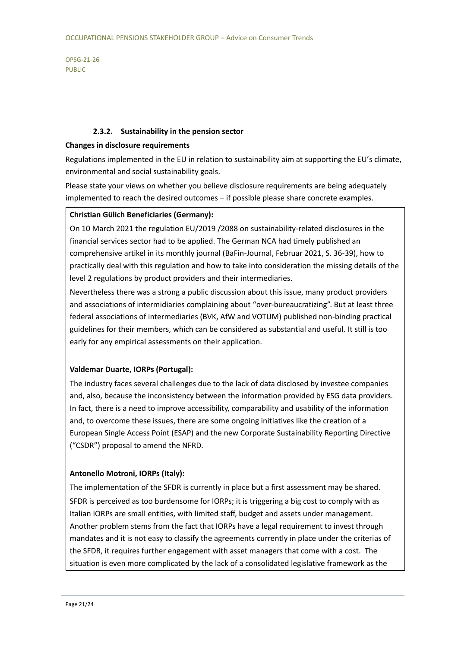### **2.3.2. Sustainability in the pension sector**

### **Changes in disclosure requirements**

Regulations implemented in the EU in relation to sustainability aim at supporting the EU's climate, environmental and social sustainability goals.

Please state your views on whether you believe disclosure requirements are being adequately implemented to reach the desired outcomes – if possible please share concrete examples.

### **Christian Gülich Beneficiaries (Germany):**

On 10 March 2021 the regulation EU/2019 /2088 on sustainability-related disclosures in the financial services sector had to be applied. The German NCA had timely published an comprehensive artikel in its monthly journal (BaFin-Journal, Februar 2021, S. 36-39), how to practically deal with this regulation and how to take into consideration the missing details of the level 2 regulations by product providers and their intermediaries.

Nevertheless there was a strong a public discussion about this issue, many product providers and associations of intermidiaries complaining about "over-bureaucratizing". But at least three federal associations of intermediaries (BVK, AfW and VOTUM) published non-binding practical guidelines for their members, which can be considered as substantial and useful. It still is too early for any empirical assessments on their application.

### **Valdemar Duarte, IORPs (Portugal):**

The industry faces several challenges due to the lack of data disclosed by investee companies and, also, because the inconsistency between the information provided by ESG data providers. In fact, there is a need to improve accessibility, comparability and usability of the information and, to overcome these issues, there are some ongoing initiatives like the creation of a European Single Access Point (ESAP) and the new Corporate Sustainability Reporting Directive ("CSDR") proposal to amend the NFRD.

### **Antonello Motroni, IORPs (Italy):**

The implementation of the SFDR is currently in place but a first assessment may be shared. SFDR is perceived as too burdensome for IORPs; it is triggering a big cost to comply with as Italian IORPs are small entities, with limited staff, budget and assets under management. Another problem stems from the fact that IORPs have a legal requirement to invest through mandates and it is not easy to classify the agreements currently in place under the criterias of the SFDR, it requires further engagement with asset managers that come with a cost. The situation is even more complicated by the lack of a consolidated legislative framework as the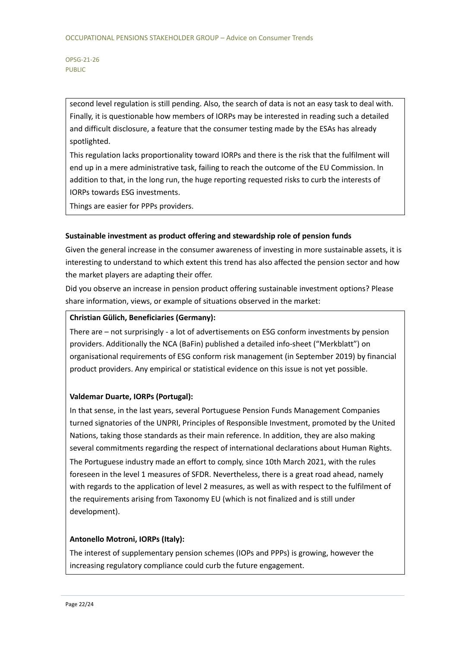second level regulation is still pending. Also, the search of data is not an easy task to deal with. Finally, it is questionable how members of IORPs may be interested in reading such a detailed and difficult disclosure, a feature that the consumer testing made by the ESAs has already spotlighted.

This regulation lacks proportionality toward IORPs and there is the risk that the fulfilment will end up in a mere administrative task, failing to reach the outcome of the EU Commission. In addition to that, in the long run, the huge reporting requested risks to curb the interests of IORPs towards ESG investments.

Things are easier for PPPs providers.

### **Sustainable investment as product offering and stewardship role of pension funds**

Given the general increase in the consumer awareness of investing in more sustainable assets, it is interesting to understand to which extent this trend has also affected the pension sector and how the market players are adapting their offer.

Did you observe an increase in pension product offering sustainable investment options? Please share information, views, or example of situations observed in the market:

### **Christian Gülich, Beneficiaries (Germany):**

There are – not surprisingly - a lot of advertisements on ESG conform investments by pension providers. Additionally the NCA (BaFin) published a detailed info-sheet ("Merkblatt") on organisational requirements of ESG conform risk management (in September 2019) by financial product providers. Any empirical or statistical evidence on this issue is not yet possible.

### **Valdemar Duarte, IORPs (Portugal):**

In that sense, in the last years, several Portuguese Pension Funds Management Companies turned signatories of the UNPRI, Principles of Responsible Investment, promoted by the United Nations, taking those standards as their main reference. In addition, they are also making several commitments regarding the respect of international declarations about Human Rights. The Portuguese industry made an effort to comply, since 10th March 2021, with the rules foreseen in the level 1 measures of SFDR. Nevertheless, there is a great road ahead, namely with regards to the application of level 2 measures, as well as with respect to the fulfilment of the requirements arising from Taxonomy EU (which is not finalized and is still under development).

### **Antonello Motroni, IORPs (Italy):**

The interest of supplementary pension schemes (IOPs and PPPs) is growing, however the increasing regulatory compliance could curb the future engagement.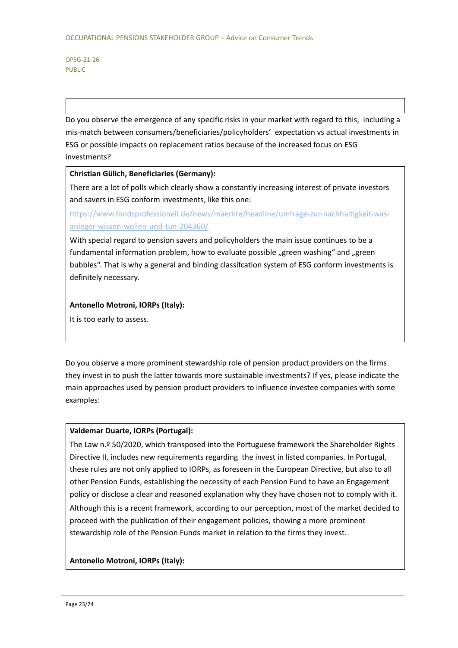Do you observe the emergence of any specific risks in your market with regard to this, including a mis-match between consumers/beneficiaries/policyholders' expectation vs actual investments in ESG or possible impacts on replacement ratios because of the increased focus on ESG investments?

### **Christian Gülich, Beneficiaries (Germany):**

There are a lot of polls which clearly show a constantly increasing interest of private investors and savers in ESG conform investments, like this one:

[https://www.fondsprofessionell.de/news/maerkte/headline/umfrage-zur-nachhaltigkeit-was](https://www.fondsprofessionell.de/news/maerkte/headline/umfrage-zur-nachhaltigkeit-was-anleger-wissen-wollen-und-tun-204360/)[anleger-wissen-wollen-und-tun-204360/](https://www.fondsprofessionell.de/news/maerkte/headline/umfrage-zur-nachhaltigkeit-was-anleger-wissen-wollen-und-tun-204360/)

With special regard to pension savers and policyholders the main issue continues to be a fundamental information problem, how to evaluate possible "green washing" and "green bubbles". That is why a general and binding classifcation system of ESG conform investments is definitely necessary.

### **Antonello Motroni, IORPs (Italy):**

It is too early to assess.

Do you observe a more prominent stewardship role of pension product providers on the firms they invest in to push the latter towards more sustainable investments? If yes, please indicate the main approaches used by pension product providers to influence investee companies with some examples:

### **Valdemar Duarte, IORPs (Portugal):**

The Law n.º 50/2020, which transposed into the Portuguese framework the Shareholder Rights Directive II, includes new requirements regarding the invest in listed companies. In Portugal, these rules are not only applied to IORPs, as foreseen in the European Directive, but also to all other Pension Funds, establishing the necessity of each Pension Fund to have an Engagement policy or disclose a clear and reasoned explanation why they have chosen not to comply with it. Although this is a recent framework, according to our perception, most of the market decided to proceed with the publication of their engagement policies, showing a more prominent stewardship role of the Pension Funds market in relation to the firms they invest.

### **Antonello Motroni, IORPs (Italy):**